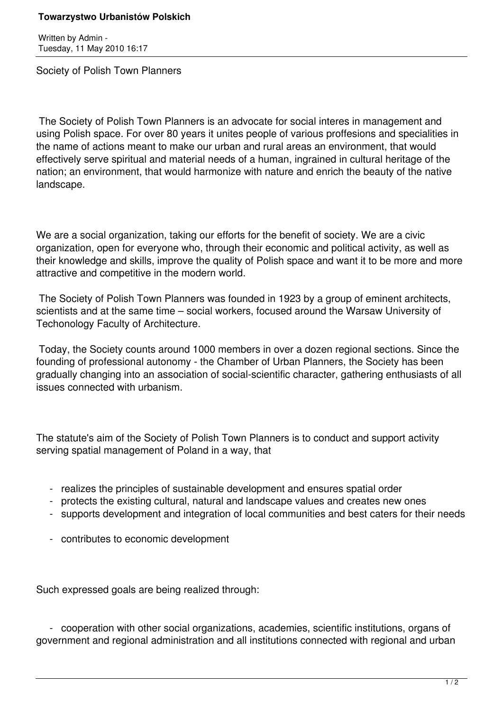## **Towarzystwo Urbanistów Polskich**

Written by Admin - Tuesday, 11 May 2010 16:17

Society of Polish Town Planners

 The Society of Polish Town Planners is an advocate for social interes in management and using Polish space. For over 80 years it unites people of various proffesions and specialities in the name of actions meant to make our urban and rural areas an environment, that would effectively serve spiritual and material needs of a human, ingrained in cultural heritage of the nation; an environment, that would harmonize with nature and enrich the beauty of the native landscape.

We are a social organization, taking our efforts for the benefit of society. We are a civic organization, open for everyone who, through their economic and political activity, as well as their knowledge and skills, improve the quality of Polish space and want it to be more and more attractive and competitive in the modern world.

 The Society of Polish Town Planners was founded in 1923 by a group of eminent architects, scientists and at the same time – social workers, focused around the Warsaw University of Techonology Faculty of Architecture.

 Today, the Society counts around 1000 members in over a dozen regional sections. Since the founding of professional autonomy - the Chamber of Urban Planners, the Society has been gradually changing into an association of social-scientific character, gathering enthusiasts of all issues connected with urbanism.

The statute's aim of the Society of Polish Town Planners is to conduct and support activity serving spatial management of Poland in a way, that

- realizes the principles of sustainable development and ensures spatial order
- protects the existing cultural, natural and landscape values and creates new ones
- supports development and integration of local communities and best caters for their needs
- contributes to economic development

Such expressed goals are being realized through:

 - cooperation with other social organizations, academies, scientific institutions, organs of government and regional administration and all institutions connected with regional and urban